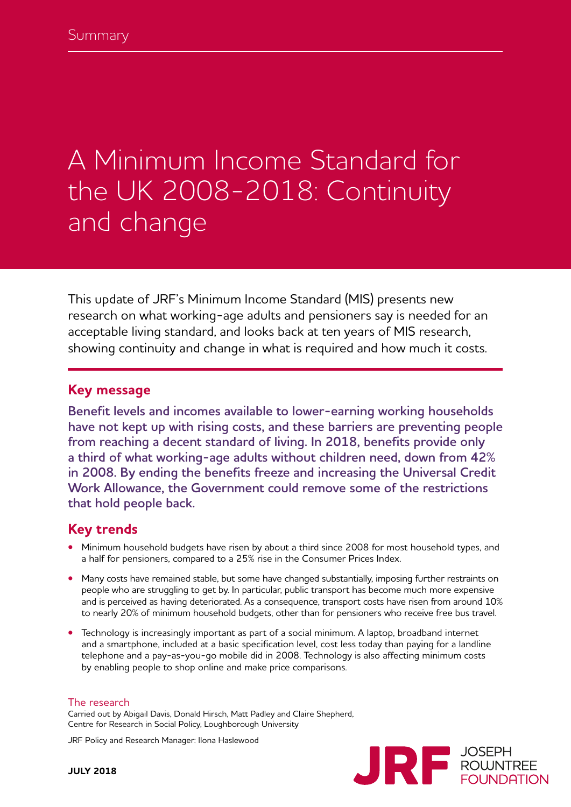# A Minimum Income Standard for the UK 2008-2018: Continuity and change

This update of JRF's Minimum Income Standard (MIS) presents new research on what working-age adults and pensioners say is needed for an acceptable living standard, and looks back at ten years of MIS research, showing continuity and change in what is required and how much it costs.

#### **Key message**

**Benefit levels and incomes available to lower-earning working households have not kept up with rising costs, and these barriers are preventing people from reaching a decent standard of living. In 2018, benefits provide only a third of what working-age adults without children need, down from 42% in 2008. By ending the benefits freeze and increasing the Universal Credit Work Allowance, the Government could remove some of the restrictions that hold people back.**

#### **Key trends**

- **•** Minimum household budgets have risen by about a third since 2008 for most household types, and a half for pensioners, compared to a 25% rise in the Consumer Prices Index.
- **•** Many costs have remained stable, but some have changed substantially, imposing further restraints on people who are struggling to get by. In particular, public transport has become much more expensive and is perceived as having deteriorated. As a consequence, transport costs have risen from around 10% to nearly 20% of minimum household budgets, other than for pensioners who receive free bus travel.
- **•** Technology is increasingly important as part of a social minimum. A laptop, broadband internet and a smartphone, included at a basic specification level, cost less today than paying for a landline telephone and a pay-as-you-go mobile did in 2008. Technology is also affecting minimum costs by enabling people to shop online and make price comparisons.

#### The research

Carried out by Abigail Davis, Donald Hirsch, Matt Padley and Claire Shepherd, Centre for Research in Social Policy, Loughborough University

JRF Policy and Research Manager: Ilona Haslewood

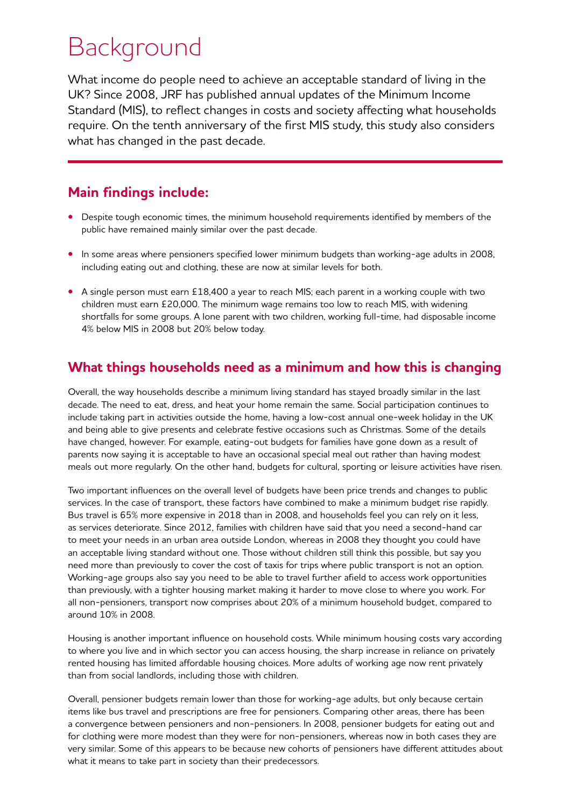## Background

What income do people need to achieve an acceptable standard of living in the UK? Since 2008, JRF has published annual updates of the Minimum Income Standard (MIS), to reflect changes in costs and society affecting what households require. On the tenth anniversary of the first MIS study, this study also considers what has changed in the past decade.

### **Main findings include:**

- **•** Despite tough economic times, the minimum household requirements identified by members of the public have remained mainly similar over the past decade.
- **•** In some areas where pensioners specified lower minimum budgets than working-age adults in 2008, including eating out and clothing, these are now at similar levels for both.
- **•** A single person must earn £18,400 a year to reach MIS; each parent in a working couple with two children must earn £20,000. The minimum wage remains too low to reach MIS, with widening shortfalls for some groups. A lone parent with two children, working full-time, had disposable income 4% below MIS in 2008 but 20% below today.

#### **What things households need as a minimum and how this is changing**

Overall, the way households describe a minimum living standard has stayed broadly similar in the last decade. The need to eat, dress, and heat your home remain the same. Social participation continues to include taking part in activities outside the home, having a low-cost annual one-week holiday in the UK and being able to give presents and celebrate festive occasions such as Christmas. Some of the details have changed, however. For example, eating-out budgets for families have gone down as a result of parents now saying it is acceptable to have an occasional special meal out rather than having modest meals out more regularly. On the other hand, budgets for cultural, sporting or leisure activities have risen.

Two important influences on the overall level of budgets have been price trends and changes to public services. In the case of transport, these factors have combined to make a minimum budget rise rapidly. Bus travel is 65% more expensive in 2018 than in 2008, and households feel you can rely on it less, as services deteriorate. Since 2012, families with children have said that you need a second-hand car to meet your needs in an urban area outside London, whereas in 2008 they thought you could have an acceptable living standard without one. Those without children still think this possible, but say you need more than previously to cover the cost of taxis for trips where public transport is not an option. Working-age groups also say you need to be able to travel further afield to access work opportunities than previously, with a tighter housing market making it harder to move close to where you work. For all non-pensioners, transport now comprises about 20% of a minimum household budget, compared to around 10% in 2008.

Housing is another important influence on household costs. While minimum housing costs vary according to where you live and in which sector you can access housing, the sharp increase in reliance on privately rented housing has limited affordable housing choices. More adults of working age now rent privately than from social landlords, including those with children.

Overall, pensioner budgets remain lower than those for working-age adults, but only because certain items like bus travel and prescriptions are free for pensioners. Comparing other areas, there has been a convergence between pensioners and non-pensioners. In 2008, pensioner budgets for eating out and for clothing were more modest than they were for non-pensioners, whereas now in both cases they are very similar. Some of this appears to be because new cohorts of pensioners have different attitudes about what it means to take part in society than their predecessors.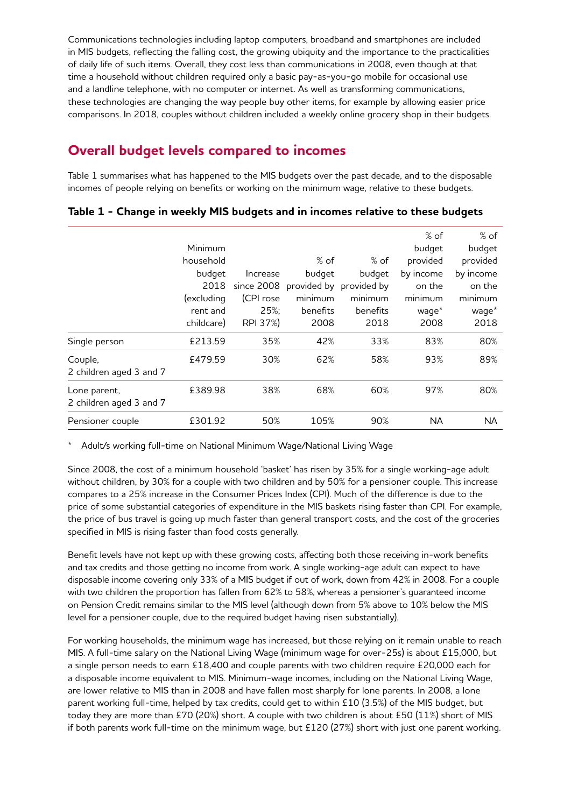Communications technologies including laptop computers, broadband and smartphones are included in MIS budgets, reflecting the falling cost, the growing ubiquity and the importance to the practicalities of daily life of such items. Overall, they cost less than communications in 2008, even though at that time a household without children required only a basic pay-as-you-go mobile for occasional use and a landline telephone, with no computer or internet. As well as transforming communications, these technologies are changing the way people buy other items, for example by allowing easier price comparisons. In 2018, couples without children included a weekly online grocery shop in their budgets.

### **Overall budget levels compared to incomes**

Table 1 summarises what has happened to the MIS budgets over the past decade, and to the disposable incomes of people relying on benefits or working on the minimum wage, relative to these budgets.

|                                         | Minimum    |            |          |                         | % of<br>budget | $%$ of<br>budget  |
|-----------------------------------------|------------|------------|----------|-------------------------|----------------|-------------------|
|                                         | household  |            | $%$ of   | $%$ of                  | provided       | provided          |
|                                         | budget     | Increase   | budget   | budget                  | by income      | by income         |
|                                         | 2018       | since 2008 |          | provided by provided by | on the         | on the            |
|                                         | (excluding | (CPI rose  | minimum  | minimum                 | minimum        | minimum           |
|                                         | rent and   | 25%;       | benefits | benefits                | waqe*          | wage <sup>*</sup> |
|                                         | childcare) | RPI 37%)   | 2008     | 2018                    | 2008           | 2018              |
| Single person                           | £213.59    | 35%        | 42%      | 33%                     | 83%            | 80%               |
| Couple,<br>2 children aged 3 and 7      | £479.59    | 30%        | 62%      | 58%                     | 93%            | 89%               |
| Lone parent,<br>2 children aged 3 and 7 | £389.98    | 38%        | 68%      | 60%                     | 97%            | 80%               |
| Pensioner couple                        | £301.92    | 50%        | 105%     | 90%                     | <b>NA</b>      | <b>NA</b>         |

#### **Table 1 - Change in weekly MIS budgets and in incomes relative to these budgets**

\* Adult/s working full-time on National Minimum Wage/National Living Wage

Since 2008, the cost of a minimum household 'basket' has risen by 35% for a single working-age adult without children, by 30% for a couple with two children and by 50% for a pensioner couple. This increase compares to a 25% increase in the Consumer Prices Index (CPI). Much of the difference is due to the price of some substantial categories of expenditure in the MIS baskets rising faster than CPI. For example, the price of bus travel is going up much faster than general transport costs, and the cost of the groceries specified in MIS is rising faster than food costs generally.

Benefit levels have not kept up with these growing costs, affecting both those receiving in-work benefits and tax credits and those getting no income from work. A single working-age adult can expect to have disposable income covering only 33% of a MIS budget if out of work, down from 42% in 2008. For a couple with two children the proportion has fallen from 62% to 58%, whereas a pensioner's guaranteed income on Pension Credit remains similar to the MIS level (although down from 5% above to 10% below the MIS level for a pensioner couple, due to the required budget having risen substantially).

For working households, the minimum wage has increased, but those relying on it remain unable to reach MIS. A full-time salary on the National Living Wage (minimum wage for over-25s) is about £15,000, but a single person needs to earn £18,400 and couple parents with two children require £20,000 each for a disposable income equivalent to MIS. Minimum-wage incomes, including on the National Living Wage, are lower relative to MIS than in 2008 and have fallen most sharply for lone parents. In 2008, a lone parent working full-time, helped by tax credits, could get to within £10 (3.5%) of the MIS budget, but today they are more than £70 (20%) short. A couple with two children is about £50 (11%) short of MIS if both parents work full-time on the minimum wage, but £120 (27%) short with just one parent working.